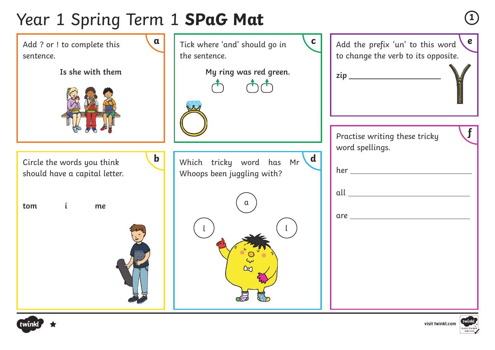### Year 1 Spring Term 1 **SPaG Mat <sup>1</sup>**



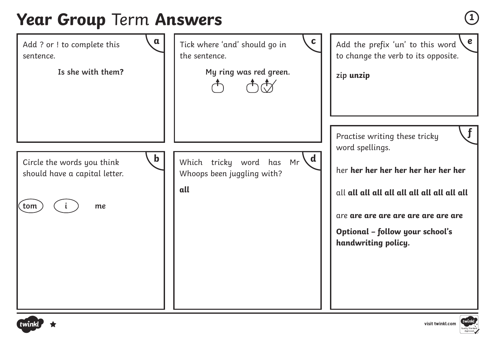### **Year Group** Term **Answers**  $\qquad \qquad$ 1

| $\mathbf a$                                                                             | $\mathbf{C}$                                                             | $\epsilon$                                                                                                                                                                                                      |
|-----------------------------------------------------------------------------------------|--------------------------------------------------------------------------|-----------------------------------------------------------------------------------------------------------------------------------------------------------------------------------------------------------------|
| Add ? or ! to complete this                                                             | Tick where 'and' should go in                                            | Add the prefix 'un' to this word                                                                                                                                                                                |
| sentence.                                                                               | the sentence.                                                            | to change the verb to its opposite.                                                                                                                                                                             |
| Is she with them?                                                                       | My ring was red green.                                                   | zip unzip                                                                                                                                                                                                       |
| $\mathbf b$<br>Circle the words you think<br>should have a capital letter.<br>tom<br>me | Which tricky word has Mr $\{d \mid$<br>Whoops been juggling with?<br>all | $\mathbf{f}$<br>Practise writing these tricky<br>word spellings.<br>her her her her her her her her her<br>are are are are are are are are are<br><b>Optional - follow your school's</b><br>handwriting policy. |



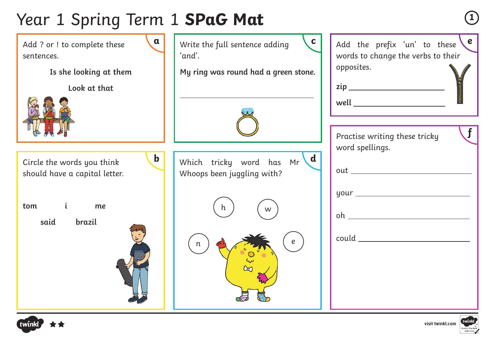# Year 1 Spring Term 1 **SPaG Mat <sup>1</sup>**

| $\mathbf a$<br>Add ? or ! to complete these<br>sentences.<br>Is she looking at them<br>Look at that         | $\mathbf c$<br>Write the full sentence adding<br>'and'.<br>My ring was round had a green stone. | $\epsilon$<br>Add the prefix 'un' to these<br>words to change the verbs to their<br>opposites.<br>well _________________________<br>$\mathbf{f}$                                                                                                                                                                                                                                                                                                                                                                                                                       |
|-------------------------------------------------------------------------------------------------------------|-------------------------------------------------------------------------------------------------|------------------------------------------------------------------------------------------------------------------------------------------------------------------------------------------------------------------------------------------------------------------------------------------------------------------------------------------------------------------------------------------------------------------------------------------------------------------------------------------------------------------------------------------------------------------------|
| $\mathbf b$<br>Circle the words you think<br>should have a capital letter.<br>tom i<br>me<br>said<br>brazil | $\mathbf d$<br>Which tricky word has Mr<br>Whoops been juggling with?<br>h.<br>W<br>e<br>n      | Practise writing these tricky<br>word spellings.<br>$\qquad \qquad \text{could} \qquad \qquad \text{---} \qquad \qquad \text{---} \qquad \qquad \text{---} \qquad \qquad \text{---} \qquad \qquad \text{---} \qquad \text{---} \qquad \text{---} \qquad \text{---} \qquad \text{---} \qquad \text{---} \qquad \text{---} \qquad \text{---} \qquad \text{---} \qquad \text{---} \qquad \text{---} \qquad \text{---} \qquad \text{---} \qquad \text{---} \qquad \text{---} \qquad \text{---} \qquad \text{---} \qquad \text{---} \qquad \text{---} \qquad \text{---} \q$ |



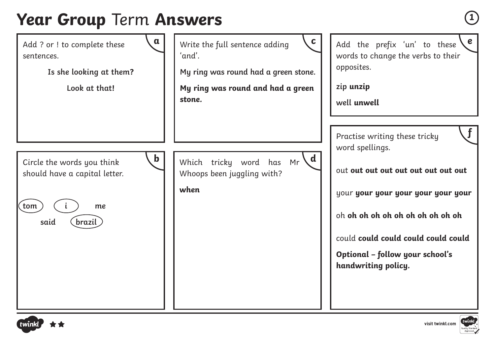#### **Year Group Term Answers**





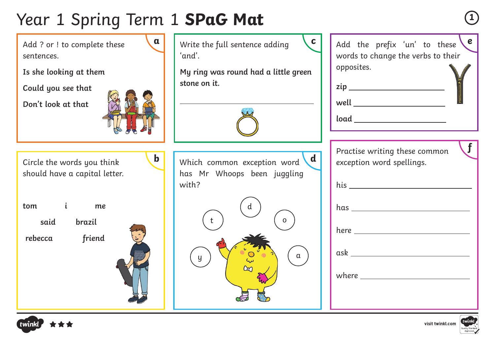# Year 1 Spring Term 1 **SPaG Mat <sup>1</sup>**

| $\mathbf a$<br>Add ? or ! to complete these<br>sentences.<br>Is she looking at them<br>Could you see that<br>Don't look at that                | $\mathbf c$<br>Write the full sentence adding<br>'and'.<br>My ring was round had a little green<br>stone on it.            | e <sub>1</sub><br>Add the prefix 'un' to these<br>words to change the verbs to their<br>opposites.<br>$well \begin{tabular}{c} \multicolumn{2}{c} {\textbf{well}} \end{tabular}$<br>$\begin{picture}(150,10) \put(0,0){\dashbox{0.5}(10,0){ }} \put(150,0){\circle{10}} \put(150,0){\circle{10}} \put(150,0){\circle{10}} \put(150,0){\circle{10}} \put(150,0){\circle{10}} \put(150,0){\circle{10}} \put(150,0){\circle{10}} \put(150,0){\circle{10}} \put(150,0){\circle{10}} \put(150,0){\circle{10}} \put(150,0){\circle{10}} \put(150,0){\circle{10}} \put(150,$ |
|------------------------------------------------------------------------------------------------------------------------------------------------|----------------------------------------------------------------------------------------------------------------------------|-----------------------------------------------------------------------------------------------------------------------------------------------------------------------------------------------------------------------------------------------------------------------------------------------------------------------------------------------------------------------------------------------------------------------------------------------------------------------------------------------------------------------------------------------------------------------|
| $\mathbf b$<br>Circle the words you think<br>should have a capital letter.<br>$\mathbf{i}$<br>tom<br>me<br>said<br>brazil<br>friend<br>rebecca | $\mathbf d$<br>Which common exception word<br>has Mr Whoops been juggling<br>with?<br>$\mathsf{d}$<br>$\Omega$<br>$\alpha$ | Practise writing these common<br>exception word spellings.<br>where $\_\_$                                                                                                                                                                                                                                                                                                                                                                                                                                                                                            |